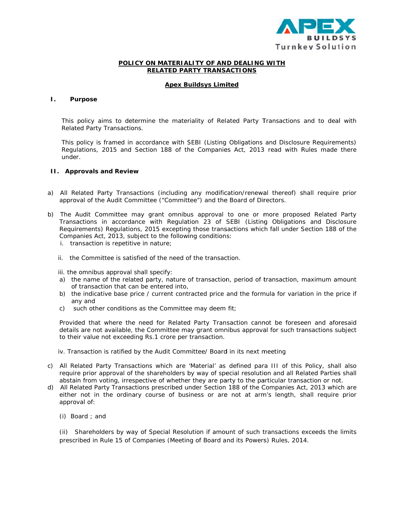

# POLICY ON MATERIALITY OF AND DEALING WITH **RELATED PARTY TRANSACTIONS**

## **Apex Buildsys Limited**

#### $\mathbf{I}$ . **Purpose**

This policy aims to determine the materiality of Related Party Transactions and to deal with Related Party Transactions.

This policy is framed in accordance with SEBI (Listing Obligations and Disclosure Requirements) Regulations, 2015 and Section 188 of the Companies Act, 2013 read with Rules made there under.

### **II.** Approvals and Review

- a) All Related Party Transactions (including any modification/renewal thereof) shall require prior approval of the Audit Committee ("Committee") and the Board of Directors.
- b) The Audit Committee may grant omnibus approval to one or more proposed Related Party Transactions in accordance with Regulation 23 of SEBI (Listing Obligations and Disclosure Requirements) Regulations, 2015 excepting those transactions which fall under Section 188 of the Companies Act, 2013, subject to the following conditions:
	- i. transaction is repetitive in nature;
	- ii. the Committee is satisfied of the need of the transaction.

iii. the omnibus approval shall specify:

- a) the name of the related party, nature of transaction, period of transaction, maximum amount of transaction that can be entered into,
- b) the indicative base price / current contracted price and the formula for variation in the price if any and
- c) such other conditions as the Committee may deem fit;

Provided that where the need for Related Party Transaction cannot be foreseen and aforesaid details are not available, the Committee may grant omnibus approval for such transactions subject to their value not exceeding Rs.1 crore per transaction.

- iv. Transaction is ratified by the Audit Committee/ Board in its next meeting
- c) All Related Party Transactions which are 'Material' as defined para III of this Policy, shall also require prior approval of the shareholders by way of special resolution and all Related Parties shall abstain from voting, irrespective of whether they are party to the particular transaction or not.
- d) All Related Party Transactions prescribed under Section 188 of the Companies Act, 2013 which are either not in the ordinary course of business or are not at arm's length, shall require prior approval of:
	- (i) Board; and

(ii) Shareholders by way of Special Resolution if amount of such transactions exceeds the limits prescribed in Rule 15 of Companies (Meeting of Board and its Powers) Rules, 2014.